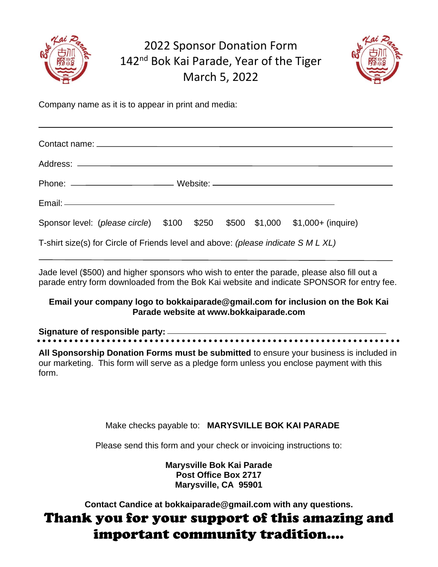

### 2022 Sponsor Donation Form 142<sup>nd</sup> Bok Kai Parade, Year of the Tiger March 5, 2022



Company name as it is to appear in print and media:

| Sponsor level: (please circle) \$100 \$250 \$500 \$1,000 \$1,000+ (inquire)       |  |  |  |  |  |
|-----------------------------------------------------------------------------------|--|--|--|--|--|
| T-shirt size(s) for Circle of Friends level and above: (please indicate S M L XL) |  |  |  |  |  |

Jade level (\$500) and higher sponsors who wish to enter the parade, please also fill out a parade entry form downloaded from the Bok Kai website and indicate SPONSOR for entry fee.

#### **Email your company logo to bokkaiparade@gmail.com for inclusion on the Bok Kai Parade website at www.bokkaiparade.com**

## **Signature of responsible party:**

**All Sponsorship Donation Forms must be submitted** to ensure your business is included in our marketing. This form will serve as a pledge form unless you enclose payment with this form.

Make checks payable to: **MARYSVILLE BOK KAI PARADE**

Please send this form and your check or invoicing instructions to:

**Marysville Bok Kai Parade Post Office Box 2717 Marysville, CA 95901**

**Contact Candice at bokkaiparade@gmail.com with any questions.**

## Thank you for your support of this amazing and important community tradition….